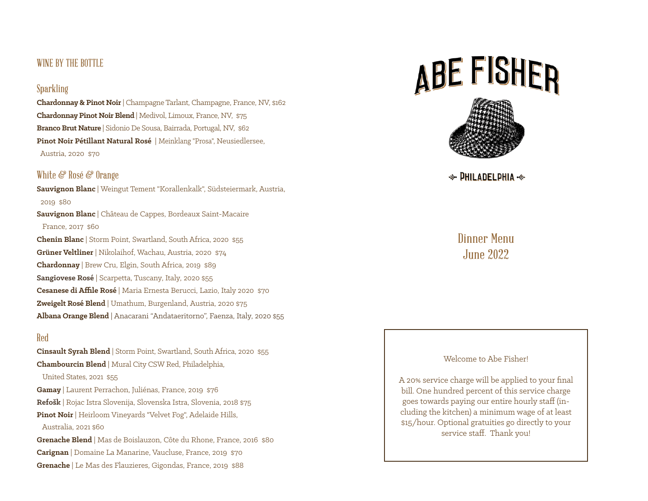## WINE BY THE BOTTLE

#### Sparkling

**Chardonnay & Pinot Noir** | Champagne Tarlant, Champagne, France, NV, \$162 **Chardonnay Pinot Noir Blend** | Medivol, Limoux, France, NV, \$75 **Branco Brut Nature** | Sidonio De Sousa, Bairrada, Portugal, NV, \$62 **Pinot Noir Pétillant Natural Rosé** | Meinklang "Prosa", Neusiedlersee, Austria, 2020 \$70

### White & Rosé & Orange

**Sauvignon Blanc** | Weingut Tement "Korallenkalk", Südsteiermark, Austria, 2019 \$80 **Sauvignon Blanc** | Château de Cappes, Bordeaux Saint-Macaire France, 2017 \$60 **Chenin Blanc** | Storm Point, Swartland, South Africa, 2020 \$55 **Grüner Veltliner** | Nikolaihof, Wachau, Austria, 2020 \$74 **Chardonnay** | Brew Cru, Elgin, South Africa, 2019 \$89 **Sangiovese Rosé** | Scarpetta, Tuscany, Italy, 2020 \$55 **Cesanese di Affile Rosé** | Maria Ernesta Berucci, Lazio, Italy 2020 \$70 **Zweigelt Rosé Blend** | Umathum, Burgenland, Austria, 2020 \$75 **Albana Orange Blend** | Anacarani "Andataeritorno", Faenza, Italy, 2020 \$55

#### Red

**Cinsault Syrah Blend** | Storm Point, Swartland, South Africa, 2020 \$55 **Chambourcin Blend** | Mural City CSW Red, Philadelphia, United States, 2021 \$55 **Gamay** | Laurent Perrachon, Juliénas, France, 2019 \$76 **Refošk** | Rojac Istra Slovenija, Slovenska Istra, Slovenia, 2018 \$75 **Pinot Noir** | Heirloom Vineyards "Velvet Fog", Adelaide Hills, Australia, 2021 \$60 **Grenache Blend** | Mas de Boislauzon, Côte du Rhone, France, 2016 \$80 **Carignan** | Domaine La Manarine, Vaucluse, France, 2019 \$70 **Grenache** | Le Mas des Flauzieres, Gigondas, France, 2019 \$88

# ABE FISHER



 $\div$  PHILADELPHIA  $\div$ 

# Dinner Menu June 2022

#### Welcome to Abe Fisher!

A 20% service charge will be applied to your final bill. One hundred percent of this service charge goes towards paying our entire hourly staff (including the kitchen) a minimum wage of at least \$15/hour. Optional gratuities go directly to your service staff. Thank you!